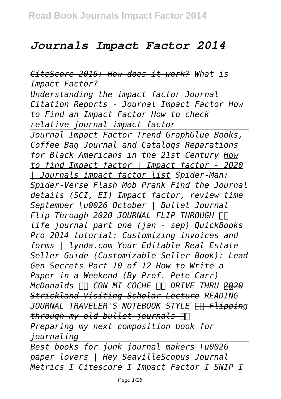## *Journals Impact Factor 2014*

*CiteScore 2016: How does it work? What is Impact Factor?*

*Understanding the impact factor Journal Citation Reports - Journal Impact Factor How to Find an Impact Factor How to check relative journal impact factor* 

*Journal Impact Factor Trend GraphGlue Books, Coffee Bag Journal and Catalogs Reparations for Black Americans in the 21st Century How to find Impact factor | Impact factor - 2020 | Journals impact factor list Spider-Man: Spider-Verse Flash Mob Prank Find the Journal details (SCI, EI) Impact factor, review time September \u0026 October | Bullet Journal*  $Flip$  Through 2020 JOURNAL FLIP THROUGH **Π** *life journal part one (jan - sep) QuickBooks Pro 2014 tutorial: Customizing invoices and forms | lynda.com Your Editable Real Estate Seller Guide (Customizable Seller Book): Lead Gen Secrets Part 10 of 12 How to Write a Paper in a Weekend (By Prof. Pete Carr) McDonalds CON MI COCHE DRIVE THRU 2020 Strickland Visiting Scholar Lecture READING JOURNAL TRAVELER'S NOTEBOOK STYLE Flipping through my old bullet journals* 

*Preparing my next composition book for journaling*

*Best books for junk journal makers \u0026 paper lovers | Hey SeavilleScopus Journal Metrics I Citescore I Impact Factor I SNIP I*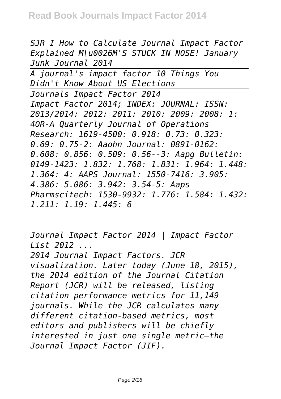*SJR I How to Calculate Journal Impact Factor Explained M\u0026M'S STUCK IN NOSE! January Junk Journal 2014*

*A journal's impact factor 10 Things You Didn't Know About US Elections Journals Impact Factor 2014 Impact Factor 2014; INDEX: JOURNAL: ISSN: 2013/2014: 2012: 2011: 2010: 2009: 2008: 1: 4OR-A Quarterly Journal of Operations Research: 1619-4500: 0.918: 0.73: 0.323: 0.69: 0.75-2: Aaohn Journal: 0891-0162: 0.608: 0.856: 0.509: 0.56--3: Aapg Bulletin: 0149-1423: 1.832: 1.768: 1.831: 1.964: 1.448: 1.364: 4: AAPS Journal: 1550-7416: 3.905: 4.386: 5.086: 3.942: 3.54-5: Aaps Pharmscitech: 1530-9932: 1.776: 1.584: 1.432: 1.211: 1.19: 1.445: 6*

*Journal Impact Factor 2014 | Impact Factor List 2012 ... 2014 Journal Impact Factors. JCR visualization. Later today (June 18, 2015), the 2014 edition of the Journal Citation Report (JCR) will be released, listing citation performance metrics for 11,149 journals. While the JCR calculates many different citation-based metrics, most editors and publishers will be chiefly interested in just one single metric–the Journal Impact Factor (JIF).*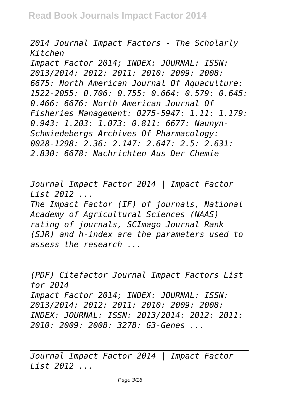*2014 Journal Impact Factors - The Scholarly Kitchen*

*Impact Factor 2014; INDEX: JOURNAL: ISSN: 2013/2014: 2012: 2011: 2010: 2009: 2008: 6675: North American Journal Of Aquaculture: 1522-2055: 0.706: 0.755: 0.664: 0.579: 0.645: 0.466: 6676: North American Journal Of Fisheries Management: 0275-5947: 1.11: 1.179: 0.943: 1.203: 1.073: 0.811: 6677: Naunyn-Schmiedebergs Archives Of Pharmacology: 0028-1298: 2.36: 2.147: 2.647: 2.5: 2.631: 2.830: 6678: Nachrichten Aus Der Chemie*

*Journal Impact Factor 2014 | Impact Factor List 2012 ...*

*The Impact Factor (IF) of journals, National Academy of Agricultural Sciences (NAAS) rating of journals, SCImago Journal Rank (SJR) and h-index are the parameters used to assess the research ...*

*(PDF) Citefactor Journal Impact Factors List for 2014 Impact Factor 2014; INDEX: JOURNAL: ISSN: 2013/2014: 2012: 2011: 2010: 2009: 2008: INDEX: JOURNAL: ISSN: 2013/2014: 2012: 2011: 2010: 2009: 2008: 3278: G3-Genes ...*

*Journal Impact Factor 2014 | Impact Factor List 2012 ...*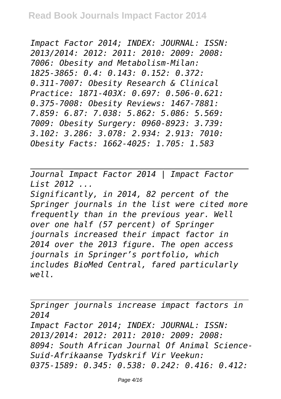*Impact Factor 2014; INDEX: JOURNAL: ISSN: 2013/2014: 2012: 2011: 2010: 2009: 2008: 7006: Obesity and Metabolism-Milan: 1825-3865: 0.4: 0.143: 0.152: 0.372: 0.311-7007: Obesity Research & Clinical Practice: 1871-403X: 0.697: 0.506-0.621: 0.375-7008: Obesity Reviews: 1467-7881: 7.859: 6.87: 7.038: 5.862: 5.086: 5.569: 7009: Obesity Surgery: 0960-8923: 3.739: 3.102: 3.286: 3.078: 2.934: 2.913: 7010: Obesity Facts: 1662-4025: 1.705: 1.583*

*Journal Impact Factor 2014 | Impact Factor List 2012 ...*

*Significantly, in 2014, 82 percent of the Springer journals in the list were cited more frequently than in the previous year. Well over one half (57 percent) of Springer journals increased their impact factor in 2014 over the 2013 figure. The open access journals in Springer's portfolio, which includes BioMed Central, fared particularly well.*

*Springer journals increase impact factors in 2014 Impact Factor 2014; INDEX: JOURNAL: ISSN: 2013/2014: 2012: 2011: 2010: 2009: 2008: 8094: South African Journal Of Animal Science-Suid-Afrikaanse Tydskrif Vir Veekun: 0375-1589: 0.345: 0.538: 0.242: 0.416: 0.412:*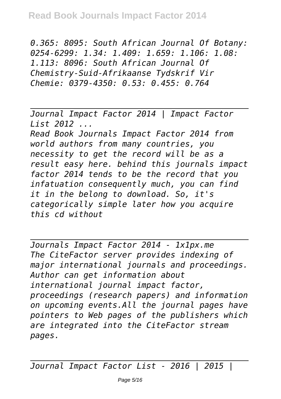*0.365: 8095: South African Journal Of Botany: 0254-6299: 1.34: 1.409: 1.659: 1.106: 1.08: 1.113: 8096: South African Journal Of Chemistry-Suid-Afrikaanse Tydskrif Vir Chemie: 0379-4350: 0.53: 0.455: 0.764*

*Journal Impact Factor 2014 | Impact Factor List 2012 ...*

*Read Book Journals Impact Factor 2014 from world authors from many countries, you necessity to get the record will be as a result easy here. behind this journals impact factor 2014 tends to be the record that you infatuation consequently much, you can find it in the belong to download. So, it's categorically simple later how you acquire this cd without*

*Journals Impact Factor 2014 - 1x1px.me The CiteFactor server provides indexing of major international journals and proceedings. Author can get information about international journal impact factor, proceedings (research papers) and information on upcoming events.All the journal pages have pointers to Web pages of the publishers which are integrated into the CiteFactor stream pages.*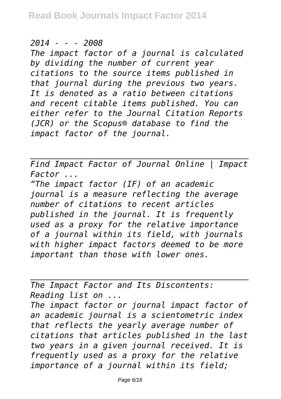## *2014 - - - 2008*

*The impact factor of a journal is calculated by dividing the number of current year citations to the source items published in that journal during the previous two years. It is denoted as a ratio between citations and recent citable items published. You can either refer to the Journal Citation Reports (JCR) or the Scopus® database to find the impact factor of the journal.*

*Find Impact Factor of Journal Online | Impact Factor ...*

*"The impact factor (IF) of an academic journal is a measure reflecting the average number of citations to recent articles published in the journal. It is frequently used as a proxy for the relative importance of a journal within its field, with journals with higher impact factors deemed to be more important than those with lower ones.*

*The Impact Factor and Its Discontents: Reading list on ... The impact factor or journal impact factor of an academic journal is a scientometric index that reflects the yearly average number of citations that articles published in the last two years in a given journal received. It is frequently used as a proxy for the relative importance of a journal within its field;*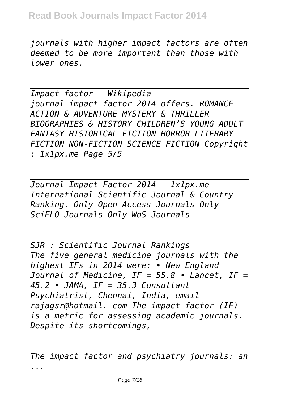*journals with higher impact factors are often deemed to be more important than those with lower ones.*

*Impact factor - Wikipedia journal impact factor 2014 offers. ROMANCE ACTION & ADVENTURE MYSTERY & THRILLER BIOGRAPHIES & HISTORY CHILDREN'S YOUNG ADULT FANTASY HISTORICAL FICTION HORROR LITERARY FICTION NON-FICTION SCIENCE FICTION Copyright : 1x1px.me Page 5/5*

*Journal Impact Factor 2014 - 1x1px.me International Scientific Journal & Country Ranking. Only Open Access Journals Only SciELO Journals Only WoS Journals*

*SJR : Scientific Journal Rankings The five general medicine journals with the highest IFs in 2014 were: • New England Journal of Medicine, IF = 55.8 • Lancet, IF = 45.2 • JAMA, IF = 35.3 Consultant Psychiatrist, Chennai, India, email rajagsr@hotmail. com The impact factor (IF) is a metric for assessing academic journals. Despite its shortcomings,*

*The impact factor and psychiatry journals: an ...*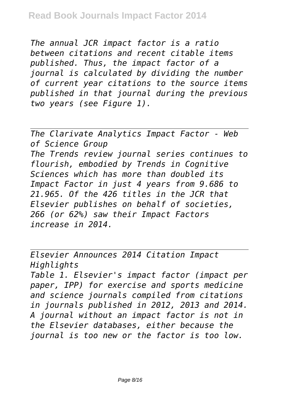*The annual JCR impact factor is a ratio between citations and recent citable items published. Thus, the impact factor of a journal is calculated by dividing the number of current year citations to the source items published in that journal during the previous two years (see Figure 1).*

*The Clarivate Analytics Impact Factor - Web of Science Group The Trends review journal series continues to flourish, embodied by Trends in Cognitive Sciences which has more than doubled its Impact Factor in just 4 years from 9.686 to 21.965. Of the 426 titles in the JCR that Elsevier publishes on behalf of societies, 266 (or 62%) saw their Impact Factors increase in 2014.*

*Elsevier Announces 2014 Citation Impact Highlights Table 1. Elsevier's impact factor (impact per paper, IPP) for exercise and sports medicine and science journals compiled from citations in journals published in 2012, 2013 and 2014. A journal without an impact factor is not in the Elsevier databases, either because the journal is too new or the factor is too low.*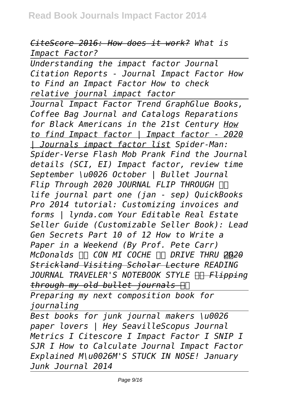## *CiteScore 2016: How does it work? What is Impact Factor?*

*Understanding the impact factor Journal Citation Reports - Journal Impact Factor How to Find an Impact Factor How to check relative journal impact factor Journal Impact Factor Trend GraphGlue Books, Coffee Bag Journal and Catalogs Reparations for Black Americans in the 21st Century How to find Impact factor | Impact factor - 2020 | Journals impact factor list Spider-Man: Spider-Verse Flash Mob Prank Find the Journal details (SCI, EI) Impact factor, review time September \u0026 October | Bullet Journal*  $Flip$  Through 2020 JOURNAL FLIP THROUGH **Π** *life journal part one (jan - sep) QuickBooks Pro 2014 tutorial: Customizing invoices and forms | lynda.com Your Editable Real Estate Seller Guide (Customizable Seller Book): Lead Gen Secrets Part 10 of 12 How to Write a Paper in a Weekend (By Prof. Pete Carr) McDonalds*  $\Box$  *CON MI COCHE*  $\Box$  *DRIVE THRU 2020 Strickland Visiting Scholar Lecture READING JOURNAL TRAVELER'S NOTEBOOK STYLE Flipping through my old bullet journals Preparing my next composition book for*

*journaling*

*Best books for junk journal makers \u0026 paper lovers | Hey SeavilleScopus Journal Metrics I Citescore I Impact Factor I SNIP I SJR I How to Calculate Journal Impact Factor Explained M\u0026M'S STUCK IN NOSE! January Junk Journal 2014*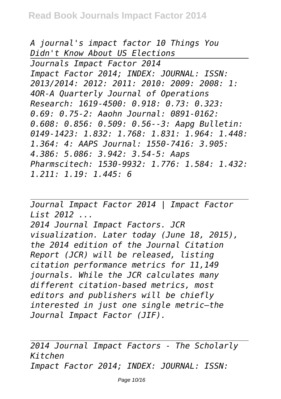*A journal's impact factor 10 Things You Didn't Know About US Elections Journals Impact Factor 2014 Impact Factor 2014; INDEX: JOURNAL: ISSN: 2013/2014: 2012: 2011: 2010: 2009: 2008: 1: 4OR-A Quarterly Journal of Operations Research: 1619-4500: 0.918: 0.73: 0.323: 0.69: 0.75-2: Aaohn Journal: 0891-0162: 0.608: 0.856: 0.509: 0.56--3: Aapg Bulletin: 0149-1423: 1.832: 1.768: 1.831: 1.964: 1.448: 1.364: 4: AAPS Journal: 1550-7416: 3.905: 4.386: 5.086: 3.942: 3.54-5: Aaps Pharmscitech: 1530-9932: 1.776: 1.584: 1.432: 1.211: 1.19: 1.445: 6*

*Journal Impact Factor 2014 | Impact Factor List 2012 ... 2014 Journal Impact Factors. JCR visualization. Later today (June 18, 2015), the 2014 edition of the Journal Citation Report (JCR) will be released, listing citation performance metrics for 11,149 journals. While the JCR calculates many different citation-based metrics, most editors and publishers will be chiefly interested in just one single metric–the Journal Impact Factor (JIF).*

*2014 Journal Impact Factors - The Scholarly Kitchen Impact Factor 2014; INDEX: JOURNAL: ISSN:*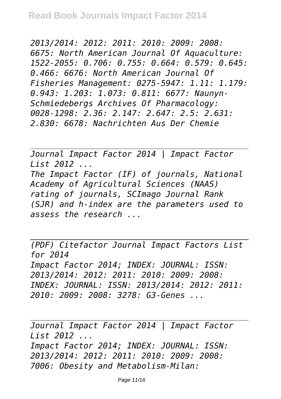*2013/2014: 2012: 2011: 2010: 2009: 2008: 6675: North American Journal Of Aquaculture: 1522-2055: 0.706: 0.755: 0.664: 0.579: 0.645: 0.466: 6676: North American Journal Of Fisheries Management: 0275-5947: 1.11: 1.179: 0.943: 1.203: 1.073: 0.811: 6677: Naunyn-Schmiedebergs Archives Of Pharmacology: 0028-1298: 2.36: 2.147: 2.647: 2.5: 2.631: 2.830: 6678: Nachrichten Aus Der Chemie*

*Journal Impact Factor 2014 | Impact Factor List 2012 ...*

*The Impact Factor (IF) of journals, National Academy of Agricultural Sciences (NAAS) rating of journals, SCImago Journal Rank (SJR) and h-index are the parameters used to assess the research ...*

*(PDF) Citefactor Journal Impact Factors List for 2014 Impact Factor 2014; INDEX: JOURNAL: ISSN: 2013/2014: 2012: 2011: 2010: 2009: 2008: INDEX: JOURNAL: ISSN: 2013/2014: 2012: 2011: 2010: 2009: 2008: 3278: G3-Genes ...*

*Journal Impact Factor 2014 | Impact Factor List 2012 ... Impact Factor 2014; INDEX: JOURNAL: ISSN: 2013/2014: 2012: 2011: 2010: 2009: 2008: 7006: Obesity and Metabolism-Milan:*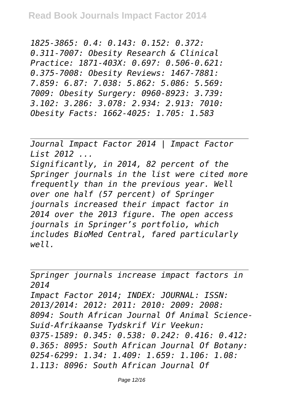*1825-3865: 0.4: 0.143: 0.152: 0.372: 0.311-7007: Obesity Research & Clinical Practice: 1871-403X: 0.697: 0.506-0.621: 0.375-7008: Obesity Reviews: 1467-7881: 7.859: 6.87: 7.038: 5.862: 5.086: 5.569: 7009: Obesity Surgery: 0960-8923: 3.739: 3.102: 3.286: 3.078: 2.934: 2.913: 7010: Obesity Facts: 1662-4025: 1.705: 1.583*

*Journal Impact Factor 2014 | Impact Factor List 2012 ... Significantly, in 2014, 82 percent of the Springer journals in the list were cited more frequently than in the previous year. Well over one half (57 percent) of Springer journals increased their impact factor in 2014 over the 2013 figure. The open access journals in Springer's portfolio, which includes BioMed Central, fared particularly well.*

*Springer journals increase impact factors in 2014 Impact Factor 2014; INDEX: JOURNAL: ISSN: 2013/2014: 2012: 2011: 2010: 2009: 2008: 8094: South African Journal Of Animal Science-Suid-Afrikaanse Tydskrif Vir Veekun: 0375-1589: 0.345: 0.538: 0.242: 0.416: 0.412: 0.365: 8095: South African Journal Of Botany: 0254-6299: 1.34: 1.409: 1.659: 1.106: 1.08: 1.113: 8096: South African Journal Of*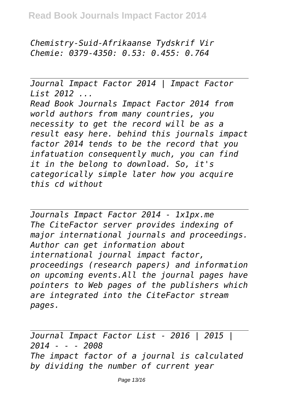*Chemistry-Suid-Afrikaanse Tydskrif Vir Chemie: 0379-4350: 0.53: 0.455: 0.764*

*Journal Impact Factor 2014 | Impact Factor List 2012 ... Read Book Journals Impact Factor 2014 from world authors from many countries, you necessity to get the record will be as a result easy here. behind this journals impact factor 2014 tends to be the record that you infatuation consequently much, you can find it in the belong to download. So, it's categorically simple later how you acquire this cd without*

*Journals Impact Factor 2014 - 1x1px.me The CiteFactor server provides indexing of major international journals and proceedings. Author can get information about international journal impact factor, proceedings (research papers) and information on upcoming events.All the journal pages have pointers to Web pages of the publishers which are integrated into the CiteFactor stream pages.*

*Journal Impact Factor List - 2016 | 2015 | 2014 - - - 2008 The impact factor of a journal is calculated by dividing the number of current year*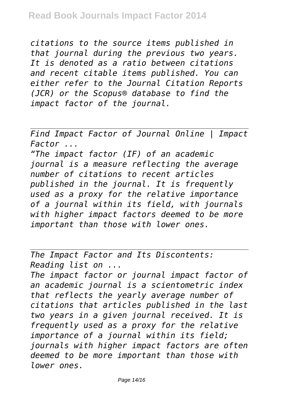*citations to the source items published in that journal during the previous two years. It is denoted as a ratio between citations and recent citable items published. You can either refer to the Journal Citation Reports (JCR) or the Scopus® database to find the impact factor of the journal.*

*Find Impact Factor of Journal Online | Impact Factor ...*

*"The impact factor (IF) of an academic journal is a measure reflecting the average number of citations to recent articles published in the journal. It is frequently used as a proxy for the relative importance of a journal within its field, with journals with higher impact factors deemed to be more important than those with lower ones.*

*The Impact Factor and Its Discontents: Reading list on ...*

*The impact factor or journal impact factor of an academic journal is a scientometric index that reflects the yearly average number of citations that articles published in the last two years in a given journal received. It is frequently used as a proxy for the relative importance of a journal within its field; journals with higher impact factors are often deemed to be more important than those with lower ones.*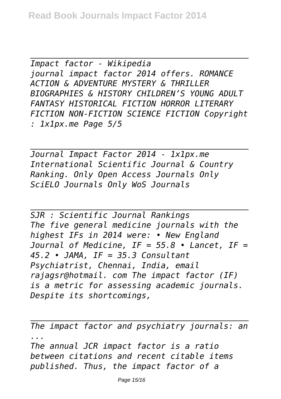*Impact factor - Wikipedia journal impact factor 2014 offers. ROMANCE ACTION & ADVENTURE MYSTERY & THRILLER BIOGRAPHIES & HISTORY CHILDREN'S YOUNG ADULT FANTASY HISTORICAL FICTION HORROR LITERARY FICTION NON-FICTION SCIENCE FICTION Copyright : 1x1px.me Page 5/5*

*Journal Impact Factor 2014 - 1x1px.me International Scientific Journal & Country Ranking. Only Open Access Journals Only SciELO Journals Only WoS Journals*

*SJR : Scientific Journal Rankings The five general medicine journals with the highest IFs in 2014 were: • New England Journal of Medicine, IF = 55.8 • Lancet, IF = 45.2 • JAMA, IF = 35.3 Consultant Psychiatrist, Chennai, India, email rajagsr@hotmail. com The impact factor (IF) is a metric for assessing academic journals. Despite its shortcomings,*

*The impact factor and psychiatry journals: an ... The annual JCR impact factor is a ratio*

*between citations and recent citable items published. Thus, the impact factor of a*